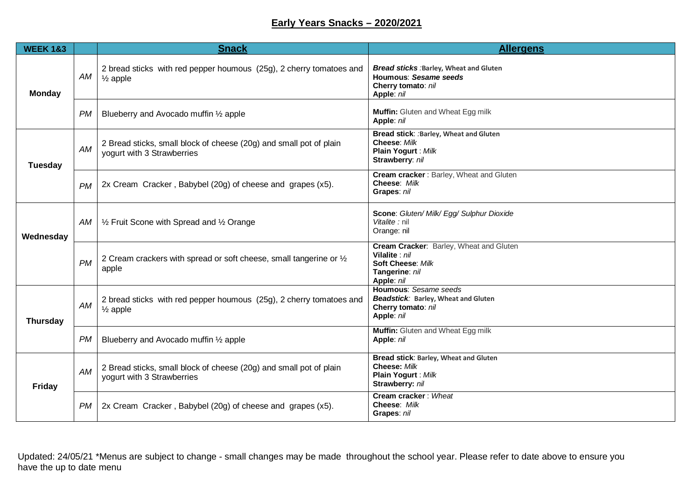## **Early Years Snacks – 2020/2021**

| <b>WEEK 1&amp;3</b> |           | <b>Snack</b>                                                                                     | <b>Allergens</b>                                                                                               |
|---------------------|-----------|--------------------------------------------------------------------------------------------------|----------------------------------------------------------------------------------------------------------------|
| <b>Monday</b>       | AM        | 2 bread sticks with red pepper houmous (25g), 2 cherry tomatoes and<br>$\frac{1}{2}$ apple       | Bread sticks : Barley, Wheat and Gluten<br><b>Houmous: Sesame seeds</b><br>Cherry tomato: nil<br>Apple: nil    |
|                     | <b>PM</b> | Blueberry and Avocado muffin 1/2 apple                                                           | Muffin: Gluten and Wheat Egg milk<br>Apple: nil                                                                |
| <b>Tuesday</b>      | AM        | 2 Bread sticks, small block of cheese (20g) and small pot of plain<br>yogurt with 3 Strawberries | Bread stick: : Barley, Wheat and Gluten<br>Cheese: Milk<br>Plain Yogurt : Milk<br>Strawberry: nil              |
|                     | <b>PM</b> | 2x Cream Cracker, Babybel (20g) of cheese and grapes (x5).                                       | Cream cracker: Barley, Wheat and Gluten<br>Cheese: Milk<br>Grapes: nil                                         |
| Wednesday           | AM        | 1/2 Fruit Scone with Spread and 1/2 Orange                                                       | Scone: Gluten/ Milk/ Egg/ Sulphur Dioxide<br>Vitalite : nil<br>Orange: nil                                     |
|                     | <b>PM</b> | 2 Cream crackers with spread or soft cheese, small tangerine or 1/2<br>apple                     | Cream Cracker: Barley, Wheat and Gluten<br>Vilalite : nil<br>Soft Cheese: Milk<br>Tangerine: nil<br>Apple: nil |
| <b>Thursday</b>     | AM        | 2 bread sticks with red pepper houmous (25g), 2 cherry tomatoes and<br>$\frac{1}{2}$ apple       | Houmous: Sesame seeds<br>Beadstick: Barley, Wheat and Gluten<br>Cherry tomato: nil<br>Apple: nil               |
|                     | PM        | Blueberry and Avocado muffin 1/2 apple                                                           | Muffin: Gluten and Wheat Egg milk<br>Apple: nil                                                                |
| <b>Friday</b>       | <b>AM</b> | 2 Bread sticks, small block of cheese (20g) and small pot of plain<br>yogurt with 3 Strawberries | <b>Bread stick: Barley, Wheat and Gluten</b><br>Cheese: Milk<br>Plain Yogurt : Milk<br>Strawberry: nil         |
|                     | PМ        | 2x Cream Cracker, Babybel (20g) of cheese and grapes (x5).                                       | Cream cracker: Wheat<br>Cheese: Milk<br>Grapes: nil                                                            |